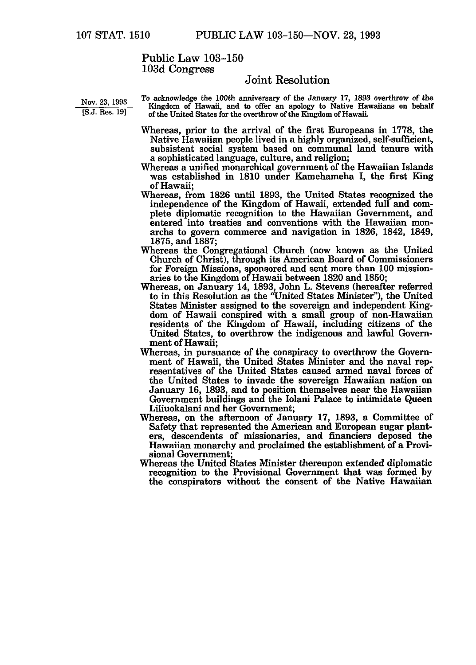# Public Law **103-150 103d** Congress

## Joint Resolution

- Nov. **23, 1993** To acknowledge the 100th anniversary of the January **17, 1893** overthrow of the Kingdom of Hawaii, and to offer an apology to Native Hawaiians on behalf **[S.J.** Res. **19]** of the United States for the overthrow of the Kingdom of Hawaii.
	- Whereas, prior to the arrival of the first Europeans in **1778,** the Native Hawaiian people lived in a **highly** organized, self-sufficient, subsistent social system based on communal land tenure with a sophisticated language, culture, and religion;
	- Whereas a unified monarchical government of the Hawaiian Islands was established in **1810** under Kamehameha **I,** the first King of Hawaii;
	- Whereas, from **1826** until **1893,** the United States recognized the independence of the Kingdom of Hawaii, extended full and complete diplomatic recognition to the Hawaiian Government, and entered into treaties and conventions with the Hawaiian monarchs to govern commerce and navigation in **1826,** 1842, 1849,
	- **1875,** and **1887;** Whereas the Congregational Church (now known as the United Church of Christ), through its American Board of Commissioners for Foreign Missions, sponsored and sent more than **100** missionaries to the Kingdom of Hawaii between **1820** and **1850;**
	- Whereas, on January 14, **1893,** John L. Stevens (hereafter referred to in this Resolution as the 'United States Minister"), the United States Minister assigned to the sovereign and independent Kingdom of Hawaii conspired with a small group of non-Hawaiian residents of the Kingdom of Hawaii, including citizens of the United States, to overthrow the indigenous and lawful Government of Hawaii;
	- Whereas, in pursuance of the conspiracy to overthrow the Government of Hawaii, the United States Minister and the naval representatives of the United States caused armed naval forces of the United States to invade the sovereign Hawaiian nation on January **16, 1893,** and to position themselves near the Hawaiian Government buildings and the lolani Palace to intimidate Queen Liliuokalani and her Government;
	- Whereas, on the afternoon of January **17, 1893,** a Committee of Safety that represented the American and European sugar planters, descendents of missionaries, and financiers deposed the Hawaiian monarchy and proclaimed the establishment of a Provisional Government;
	- Whereas the United States Minister thereupon extended diplomatic recognition to the Provisional Government that was formed **by** the conspirators without the consent of the Native Hawaiian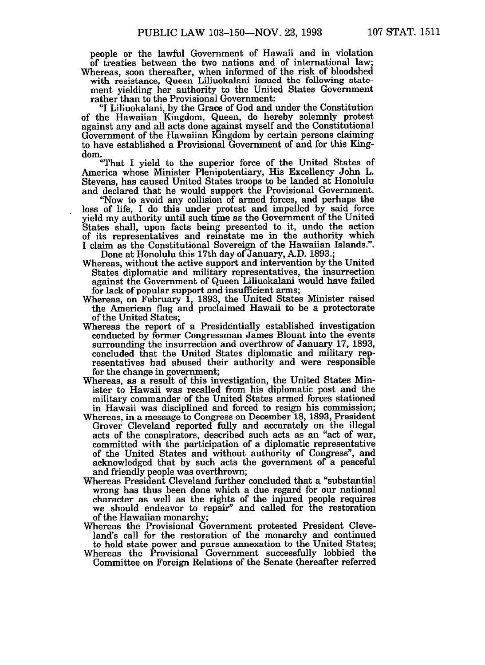people or the lawful Government of Hawaii and in violation of treaties between the two nations and of international law;

Whereas, soon thereafter, when informed of the risk of bloodshed with resistance, Queen Liliuokalani issued the following statement yielding her authority to the United States Governmen rather than to the Provisional Government:

"I Liliuokalani, by the Grace of God and under the Constitution of the Hawaiian Kingdom, Queen, do hereby solemnly protest against any and all acts done against myself and the Constitutional Government of the Hawaiian Kingdom by certain persons claiming to have established a Provisional Government of and for this King-

dom. "That I yield to the superior force of the United States of America whose Minister Plenipotentiary, His Excellency John L. Stevens, has caused United States troops to be landed at Honolulu and declared that he would support the Provisional Government.

"Now to avoid any collision of armed forces, and perhaps the loss of life, I do this under protest and impelled by said force yield my authority until such time as the Government of the United States shall, upon facts being presented to it, undo the action of its representatives and reinstate me in the authority which I claim as the Constitutional Sovereign of the Hawaiian Islands.". Done at Honolulu this 17th day of January, A.D. 1893.;

- Whereas, without the active support and intervention by the United States diplomatic and military representatives, the insurrection against the Government of Queen Liliuokalani would have failed for lack of popular support and insufficient arms;
- Whereas, on February 1, 1893, the United States Minister raised the American flag and proclaimed Hawaii to be a protectorate of the United States;
- Whereas the report of a Presidentially established investigation conducted by former Congressman James Blount into the events surrounding the insurrection and overthrow of January 17, 1893, concluded that the United States diplomatic and military representatives had abused their authority and were responsible for the change in government;
- Whereas, as a result of this investigation, the United States Minister to Hawaii was recalled from his diplomatic post and the military commander of the United States armed forces stationed in Hawaii was disciplined and forced to resign his commission;
- Whereas, in a message to Congress on December 18, **1893,** President Grover Cleveland reported fully and accurately on the illegal acts of the conspirators, described such acts as an "act of war, committed with the participation of a diplomatic representative of the United States and without authority of Congress", and acknowledged that **by** such acts the government of a peaceful and friendly people was overthrown;
- Whereas President Cleveland further concluded that a "substantial wrong has thus been done which a due regard for our national character as well as the rights of the injured people requires we should endeavor to repair" and called for the restoration of the Hawaiian monarchy;
- Whereas the Provisional Government protested President Cleveland's call for the restoration of the monarchy and continued to hold state power and pursue annexation to the United States;
- Whereas the Provisional Government successfully lobbied the Committee on Foreign Relations of the Senate (hereafter referred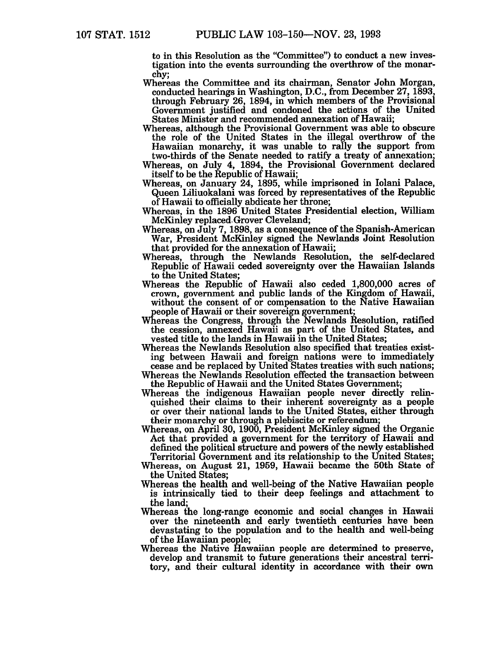to in this Resolution as the "Committee") to conduct a new investigation into the events surrounding the overthrow of the monarchy;

- Whereas the Committee and its chairman, Senator John Morgan, conducted hearings in Washington, D.C., from December 27, 1893, through February 26, 1894, in which members of the Provisional Government justified and condoned the actions of the United States Minister and recommended annexation of Hawaii;
- Whereas, although the Provisional Government was able to obscure the role of the United States in the illegal overthrow of the Hawaiian monarchy, it was unable to rally the support from two-thirds of the Senate needed to ratify a treaty of annexation;
- Whereas, on July 4, 1894, the Provisional Government declared itself to be the Republic of Hawaii;
- Whereas, on January 24, 1895, while imprisoned in Iolani Palace, Queen Liliuokalani was forced by representatives of the Republic of Hawaii to officially abdicate her throne;
- Whereas, in the 1896 United States Presidential election, William McKinley replaced-Grover Cleveland;
- Whereas, on July 7, 1898, as a consequence of the Spanish-American War, President McKinley signed the Newlands Joint Resolution that provided for the annexation of Hawaii;
- Whereas, through the Newlands Resolution, the self-declared Republic of Hawaii ceded sovereignty over the Hawaiian Islands to the United States;
- Whereas the Republic of Hawaii also ceded 1,800,000 acres of crown, government and public lands of the Kingdom of Hawaii, without the consent of or compensation to the Native Hawaiian people of Hawaii or their sovereign government;
- Whereas the Congress, through the Newlands Resolution, ratified the cession, annexed Hawaii as part of the United States, and vested title to the lands in Hawaii in the United States;
- Whereas the Newlands Resolution also specified that treaties existing between Hawaii and foreign nations were to immediately cease and be replaced by United States treaties with such nations;
- Whereas the Newlands Resolution effected the transaction between the Republic of Hawaii and the United States Government;
- Whereas the indigenous Hawaiian people never directly relinquished their claims to their inherent sovereignty as a people or over their national lands to the United States, either through their monarchy or through a plebiscite or referendum;
- Whereas, on April 30, 1900, President McKinley signed the Organic Act that provided a government for the territory of Hawaii and defined the political structure and powers of the newly established Territorial Government and its relationship to the United States;
- Whereas, on August 21, 1959, Hawaii became the 50th State of the United States;
- Whereas the health and well-being of the Native Hawaiian people is intrinsically tied to their deep feelings and attachment to the land;
- Whereas the long-range economic and social changes in Hawaii over the nineteenth and early twentieth centuries have been devastating to the population and to the health and well-being of the Hawaiian people;
- Whereas the Native Hawaiian people are determined to preserve, develop and transmit to future generations their ancestral territory, and their cultural identity in accordance with their own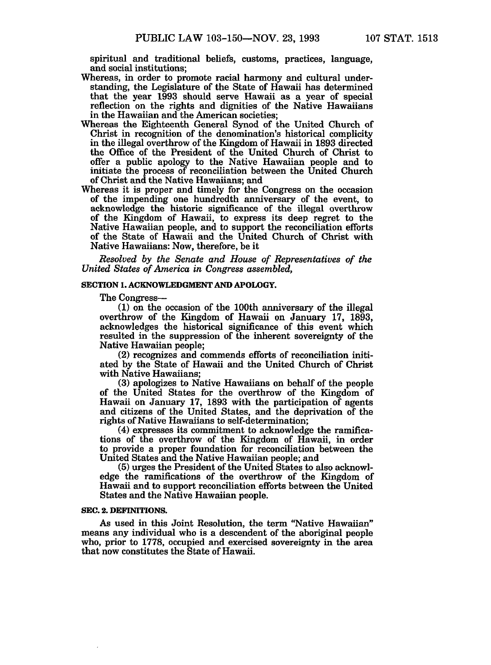spiritual and traditional beliefs, customs, practices, language, and social institutions;

- Whereas, in order to promote racial harmony and cultural understanding, the Legislature of the State of Hawaii has determined that the year 1993 should serve Hawaii as a year of special reflection on the rights and dignities of the Native Hawaiians in the Hawaiian and the American societies;
- Whereas the Eighteenth General Synod of the United Church of Christ in recognition of the denomination's historical complicity in the illegal overthrow of the Kingdom of Hawaii in 1893 directed the Office of the President of the United Church of Christ to offer a public apology to the Native Hawaiian people and to initiate the process of reconciliation between the United Church of Christ and the Native Hawaiians; and
- Whereas it is proper and timely for the Congress on the occasion of the impending one hundredth anniversary of the event, to acknowledge the historic significance of the illegal overthrow of the Kingdom of Hawaii, to express its deep regret to the Native Hawaiian people, and to support the reconciliation efforts of the State of Hawaii and the United Church of Christ with Native Hawaiians: Now, therefore, be it

*Resolved by the Senate and House of Representatives of the United States of America in Congress assembled,*

#### **SECTION 1. ACKNOWLEDGMENT AND APOLOGY.**

The Congress-

**(1)** on the occasion of the 100th anniversary of the illegal overthrow of the Kingdom of Hawaii on January **17, 1893,** acknowledges the historical significance of this event which resulted in the suppression of the inherent sovereignty of the Native Hawaiian people;

 $(2)$  recognizes and commends efforts of reconciliation initiated **by** the State of Hawaii and the United Church of Christ with Native Hawaiians;

(3) apologizes to Native Hawaiians on behalf of the people of the United States for the overthrow of the Kingdom of Hawaii on January 17, 1893 with the participation of agents and citizens of the United States, and the deprivation of the rights of Native Hawaiians to self-determination;

(4) expresses its commitment to acknowledge the ramifications of the overthrow of the Kingdom of Hawaii, in order to provide a proper foundation for reconciliation between the United States and the Native Hawaiian people; and

(5) urges the President of the United States to also acknowledge the ramifications of the overthrow of the Kingdom of Hawaii and to support reconciliation efforts between the United States and the Native Hawaiian people.

#### **SEC. 2. DEFINITIONS.**

As used in this Joint Resolution, the term "Native Hawaiian" means any individual who is a descendent of the aboriginal people who, prior to **1778,** occupied and exercised sovereignty in the area that now constitutes the State of Hawaii.